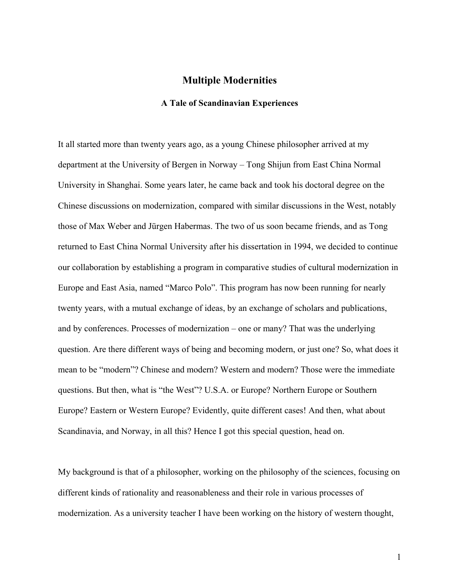# **Multiple Modernities**

## **A Tale of Scandinavian Experiences**

It all started more than twenty years ago, as a young Chinese philosopher arrived at my department at the University of Bergen in Norway – Tong Shijun from East China Normal University in Shanghai. Some years later, he came back and took his doctoral degree on the Chinese discussions on modernization, compared with similar discussions in the West, notably those of Max Weber and Jürgen Habermas. The two of us soon became friends, and as Tong returned to East China Normal University after his dissertation in 1994, we decided to continue our collaboration by establishing a program in comparative studies of cultural modernization in Europe and East Asia, named "Marco Polo". This program has now been running for nearly twenty years, with a mutual exchange of ideas, by an exchange of scholars and publications, and by conferences. Processes of modernization – one or many? That was the underlying question. Are there different ways of being and becoming modern, or just one? So, what does it mean to be "modern"? Chinese and modern? Western and modern? Those were the immediate questions. But then, what is "the West"? U.S.A. or Europe? Northern Europe or Southern Europe? Eastern or Western Europe? Evidently, quite different cases! And then, what about Scandinavia, and Norway, in all this? Hence I got this special question, head on.

My background is that of a philosopher, working on the philosophy of the sciences, focusing on different kinds of rationality and reasonableness and their role in various processes of modernization. As a university teacher I have been working on the history of western thought,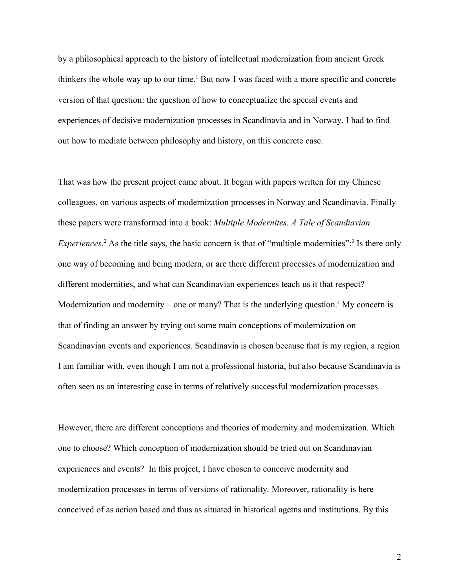by a philosophical approach to the history of intellectual modernization from ancient Greek thinkers the whole way up to our time.<sup>[1](#page-35-0)</sup> But now I was faced with a more specific and concrete version of that question: the question of how to conceptualize the special events and experiences of decisive modernization processes in Scandinavia and in Norway. I had to find out how to mediate between philosophy and history, on this concrete case.

That was how the present project came about. It began with papers written for my Chinese colleagues, on various aspects of modernization processes in Norway and Scandinavia. Finally these papers were transformed into a book: *Multiple Modernites. A Tale of Scandiavian Experiences*.<sup>[2](#page-35-1)</sup> As the title says, the basic concern is that of "multiple modernities":<sup>[3](#page-35-2)</sup> Is there only one way of becoming and being modern, or are there different processes of modernization and different modernities, and what can Scandinavian experiences teach us it that respect? Modernization and modernity – one or many? That is the underlying question.<sup>[4](#page-35-3)</sup> My concern is that of finding an answer by trying out some main conceptions of modernization on Scandinavian events and experiences. Scandinavia is chosen because that is my region, a region I am familiar with, even though I am not a professional historia, but also because Scandinavia is often seen as an interesting case in terms of relatively successful modernization processes.

However, there are different conceptions and theories of modernity and modernization. Which one to choose? Which conception of modernization should be tried out on Scandinavian experiences and events? In this project, I have chosen to conceive modernity and modernization processes in terms of versions of rationality. Moreover, rationality is here conceived of as action based and thus as situated in historical agetns and institutions. By this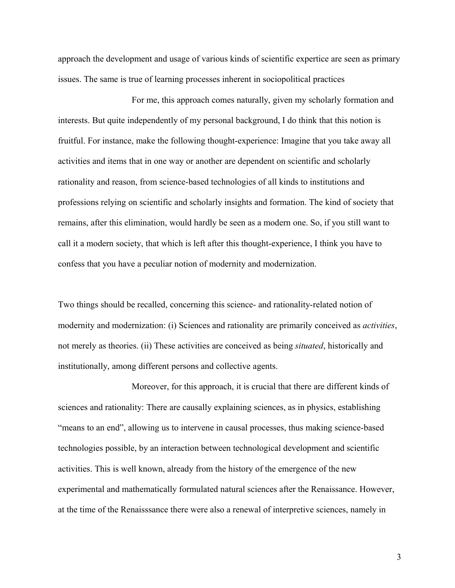approach the development and usage of various kinds of scientific expertice are seen as primary issues. The same is true of learning processes inherent in sociopolitical practices

For me, this approach comes naturally, given my scholarly formation and interests. But quite independently of my personal background, I do think that this notion is fruitful. For instance, make the following thought-experience: Imagine that you take away all activities and items that in one way or another are dependent on scientific and scholarly rationality and reason, from science-based technologies of all kinds to institutions and professions relying on scientific and scholarly insights and formation. The kind of society that remains, after this elimination, would hardly be seen as a modern one. So, if you still want to call it a modern society, that which is left after this thought-experience, I think you have to confess that you have a peculiar notion of modernity and modernization.

Two things should be recalled, concerning this science- and rationality-related notion of modernity and modernization: (i) Sciences and rationality are primarily conceived as *activities*, not merely as theories. (ii) These activities are conceived as being *situated*, historically and institutionally, among different persons and collective agents.

Moreover, for this approach, it is crucial that there are different kinds of sciences and rationality: There are causally explaining sciences, as in physics, establishing "means to an end", allowing us to intervene in causal processes, thus making science-based technologies possible, by an interaction between technological development and scientific activities. This is well known, already from the history of the emergence of the new experimental and mathematically formulated natural sciences after the Renaissance. However, at the time of the Renaisssance there were also a renewal of interpretive sciences, namely in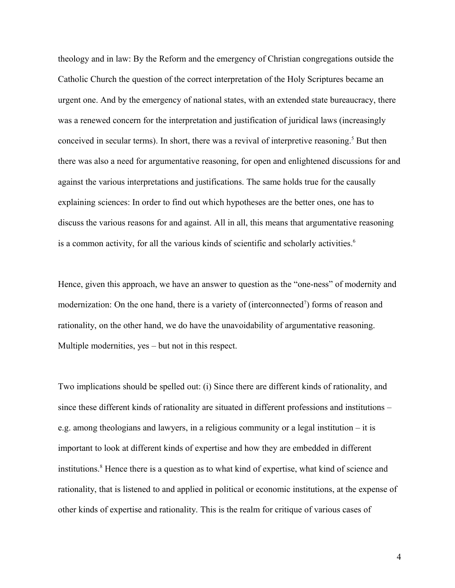theology and in law: By the Reform and the emergency of Christian congregations outside the Catholic Church the question of the correct interpretation of the Holy Scriptures became an urgent one. And by the emergency of national states, with an extended state bureaucracy, there was a renewed concern for the interpretation and justification of juridical laws (increasingly conceived in secular terms). In short, there was a revival of interpretive reasoning.<sup>[5](#page-35-4)</sup> But then there was also a need for argumentative reasoning, for open and enlightened discussions for and against the various interpretations and justifications. The same holds true for the causally explaining sciences: In order to find out which hypotheses are the better ones, one has to discuss the various reasons for and against. All in all, this means that argumentative reasoning is a common activity, for all the various kinds of scientific and scholarly activities.<sup>[6](#page-35-5)</sup>

Hence, given this approach, we have an answer to question as the "one-ness" of modernity and modernization: On the one hand, there is a variety of (interconnected<sup>[7](#page-35-6)</sup>) forms of reason and rationality, on the other hand, we do have the unavoidability of argumentative reasoning. Multiple modernities, yes – but not in this respect.

Two implications should be spelled out: (i) Since there are different kinds of rationality, and since these different kinds of rationality are situated in different professions and institutions – e.g. among theologians and lawyers, in a religious community or a legal institution – it is important to look at different kinds of expertise and how they are embedded in different institutions.<sup>[8](#page-35-7)</sup> Hence there is a question as to what kind of expertise, what kind of science and rationality, that is listened to and applied in political or economic institutions, at the expense of other kinds of expertise and rationality. This is the realm for critique of various cases of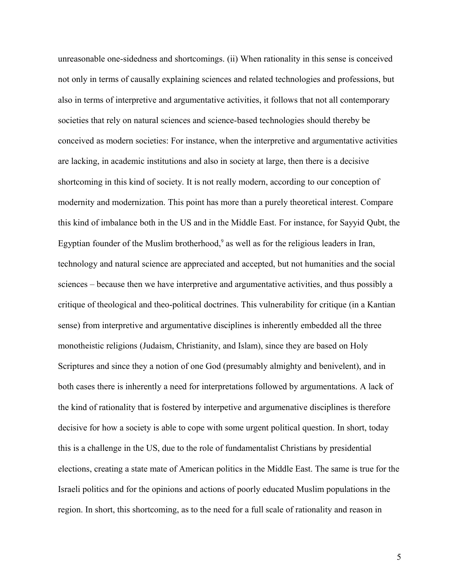unreasonable one-sidedness and shortcomings. (ii) When rationality in this sense is conceived not only in terms of causally explaining sciences and related technologies and professions, but also in terms of interpretive and argumentative activities, it follows that not all contemporary societies that rely on natural sciences and science-based technologies should thereby be conceived as modern societies: For instance, when the interpretive and argumentative activities are lacking, in academic institutions and also in society at large, then there is a decisive shortcoming in this kind of society. It is not really modern, according to our conception of modernity and modernization. This point has more than a purely theoretical interest. Compare this kind of imbalance both in the US and in the Middle East. For instance, for Sayyid Qubt, the Egyptian founder of the Muslim brotherhood,<sup>[9](#page-35-8)</sup> as well as for the religious leaders in Iran, technology and natural science are appreciated and accepted, but not humanities and the social sciences – because then we have interpretive and argumentative activities, and thus possibly a critique of theological and theo-political doctrines. This vulnerability for critique (in a Kantian sense) from interpretive and argumentative disciplines is inherently embedded all the three monotheistic religions (Judaism, Christianity, and Islam), since they are based on Holy Scriptures and since they a notion of one God (presumably almighty and benivelent), and in both cases there is inherently a need for interpretations followed by argumentations. A lack of the kind of rationality that is fostered by interpetive and argumenative disciplines is therefore decisive for how a society is able to cope with some urgent political question. In short, today this is a challenge in the US, due to the role of fundamentalist Christians by presidential elections, creating a state mate of American politics in the Middle East. The same is true for the Israeli politics and for the opinions and actions of poorly educated Muslim populations in the region. In short, this shortcoming, as to the need for a full scale of rationality and reason in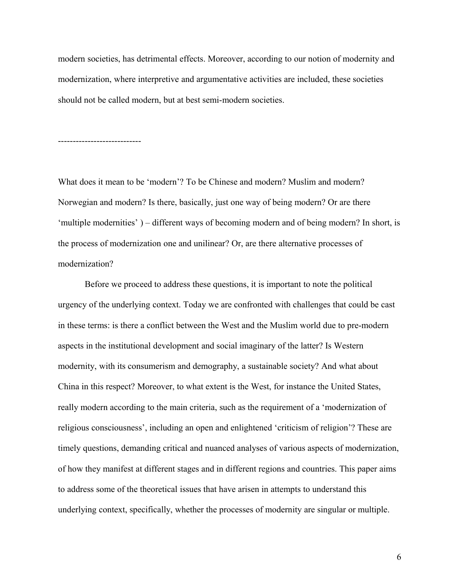modern societies, has detrimental effects. Moreover, according to our notion of modernity and modernization, where interpretive and argumentative activities are included, these societies should not be called modern, but at best semi-modern societies.

----------------------------

What does it mean to be 'modern'? To be Chinese and modern? Muslim and modern? Norwegian and modern? Is there, basically, just one way of being modern? Or are there 'multiple modernities' ) – different ways of becoming modern and of being modern? In short, is the process of modernization one and unilinear? Or, are there alternative processes of modernization?

Before we proceed to address these questions, it is important to note the political urgency of the underlying context. Today we are confronted with challenges that could be cast in these terms: is there a conflict between the West and the Muslim world due to pre-modern aspects in the institutional development and social imaginary of the latter? Is Western modernity, with its consumerism and demography, a sustainable society? And what about China in this respect? Moreover, to what extent is the West, for instance the United States, really modern according to the main criteria, such as the requirement of a 'modernization of religious consciousness', including an open and enlightened 'criticism of religion'? These are timely questions, demanding critical and nuanced analyses of various aspects of modernization, of how they manifest at different stages and in different regions and countries. This paper aims to address some of the theoretical issues that have arisen in attempts to understand this underlying context, specifically, whether the processes of modernity are singular or multiple.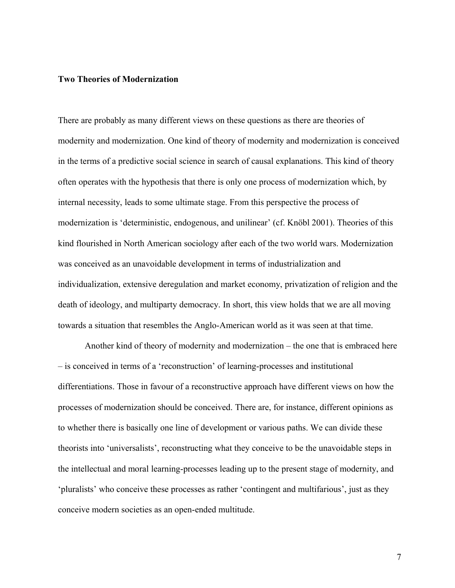### **Two Theories of Modernization**

There are probably as many different views on these questions as there are theories of modernity and modernization. One kind of theory of modernity and modernization is conceived in the terms of a predictive social science in search of causal explanations. This kind of theory often operates with the hypothesis that there is only one process of modernization which, by internal necessity, leads to some ultimate stage. From this perspective the process of modernization is 'deterministic, endogenous, and unilinear' (cf. Knöbl 2001). Theories of this kind flourished in North American sociology after each of the two world wars. Modernization was conceived as an unavoidable development in terms of industrialization and individualization, extensive deregulation and market economy, privatization of religion and the death of ideology, and multiparty democracy. In short, this view holds that we are all moving towards a situation that resembles the Anglo-American world as it was seen at that time.

Another kind of theory of modernity and modernization – the one that is embraced here – is conceived in terms of a 'reconstruction' of learning-processes and institutional differentiations. Those in favour of a reconstructive approach have different views on how the processes of modernization should be conceived. There are, for instance, different opinions as to whether there is basically one line of development or various paths. We can divide these theorists into 'universalists', reconstructing what they conceive to be the unavoidable steps in the intellectual and moral learning-processes leading up to the present stage of modernity, and 'pluralists' who conceive these processes as rather 'contingent and multifarious', just as they conceive modern societies as an open-ended multitude.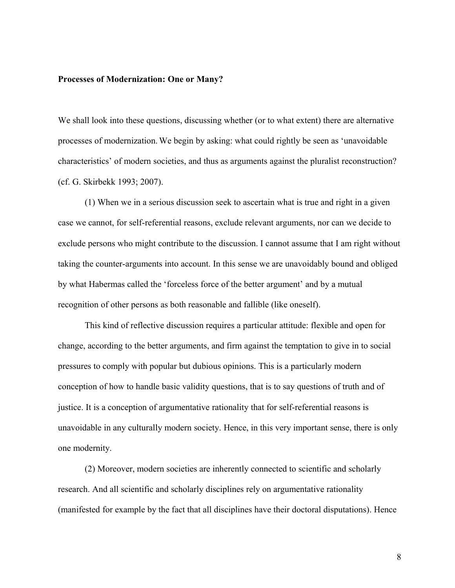### **Processes of Modernization: One or Many?**

We shall look into these questions, discussing whether (or to what extent) there are alternative processes of modernization.We begin by asking: what could rightly be seen as 'unavoidable characteristics' of modern societies, and thus as arguments against the pluralist reconstruction? (cf. G. Skirbekk 1993; 2007).

(1) When we in a serious discussion seek to ascertain what is true and right in a given case we cannot, for self-referential reasons, exclude relevant arguments, nor can we decide to exclude persons who might contribute to the discussion. I cannot assume that I am right without taking the counter-arguments into account. In this sense we are unavoidably bound and obliged by what Habermas called the 'forceless force of the better argument' and by a mutual recognition of other persons as both reasonable and fallible (like oneself).

This kind of reflective discussion requires a particular attitude: flexible and open for change, according to the better arguments, and firm against the temptation to give in to social pressures to comply with popular but dubious opinions. This is a particularly modern conception of how to handle basic validity questions, that is to say questions of truth and of justice. It is a conception of argumentative rationality that for self-referential reasons is unavoidable in any culturally modern society. Hence, in this very important sense, there is only one modernity.

(2) Moreover, modern societies are inherently connected to scientific and scholarly research. And all scientific and scholarly disciplines rely on argumentative rationality (manifested for example by the fact that all disciplines have their doctoral disputations). Hence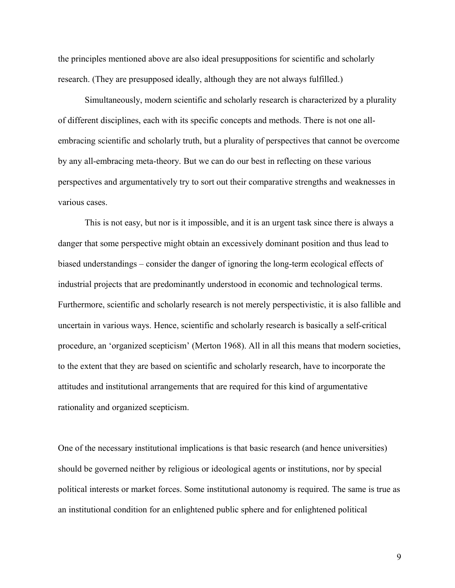the principles mentioned above are also ideal presuppositions for scientific and scholarly research. (They are presupposed ideally, although they are not always fulfilled.)

Simultaneously, modern scientific and scholarly research is characterized by a plurality of different disciplines, each with its specific concepts and methods. There is not one allembracing scientific and scholarly truth, but a plurality of perspectives that cannot be overcome by any all-embracing meta-theory. But we can do our best in reflecting on these various perspectives and argumentatively try to sort out their comparative strengths and weaknesses in various cases.

This is not easy, but nor is it impossible, and it is an urgent task since there is always a danger that some perspective might obtain an excessively dominant position and thus lead to biased understandings – consider the danger of ignoring the long-term ecological effects of industrial projects that are predominantly understood in economic and technological terms. Furthermore, scientific and scholarly research is not merely perspectivistic, it is also fallible and uncertain in various ways. Hence, scientific and scholarly research is basically a self-critical procedure, an 'organized scepticism' (Merton 1968). All in all this means that modern societies, to the extent that they are based on scientific and scholarly research, have to incorporate the attitudes and institutional arrangements that are required for this kind of argumentative rationality and organized scepticism.

One of the necessary institutional implications is that basic research (and hence universities) should be governed neither by religious or ideological agents or institutions, nor by special political interests or market forces. Some institutional autonomy is required. The same is true as an institutional condition for an enlightened public sphere and for enlightened political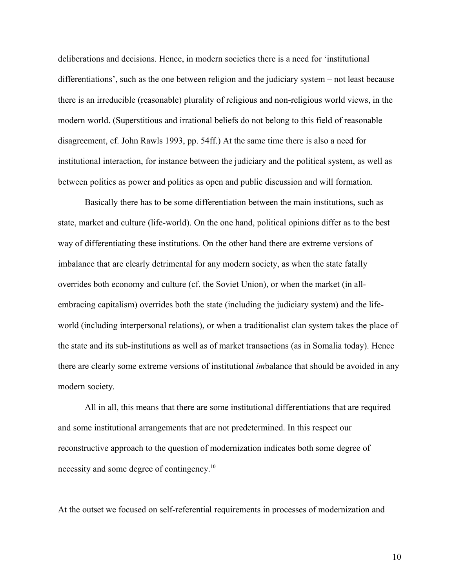deliberations and decisions. Hence, in modern societies there is a need for 'institutional differentiations', such as the one between religion and the judiciary system – not least because there is an irreducible (reasonable) plurality of religious and non-religious world views, in the modern world. (Superstitious and irrational beliefs do not belong to this field of reasonable disagreement, cf. John Rawls 1993, pp. 54ff.) At the same time there is also a need for institutional interaction, for instance between the judiciary and the political system, as well as between politics as power and politics as open and public discussion and will formation.

Basically there has to be some differentiation between the main institutions, such as state, market and culture (life-world). On the one hand, political opinions differ as to the best way of differentiating these institutions. On the other hand there are extreme versions of imbalance that are clearly detrimental for any modern society, as when the state fatally overrides both economy and culture (cf. the Soviet Union), or when the market (in allembracing capitalism) overrides both the state (including the judiciary system) and the lifeworld (including interpersonal relations), or when a traditionalist clan system takes the place of the state and its sub-institutions as well as of market transactions (as in Somalia today). Hence there are clearly some extreme versions of institutional *im*balance that should be avoided in any modern society.

All in all, this means that there are some institutional differentiations that are required and some institutional arrangements that are not predetermined. In this respect our reconstructive approach to the question of modernization indicates both some degree of necessity and some degree of contingency.<sup>[10](#page-35-9)</sup>

At the outset we focused on self-referential requirements in processes of modernization and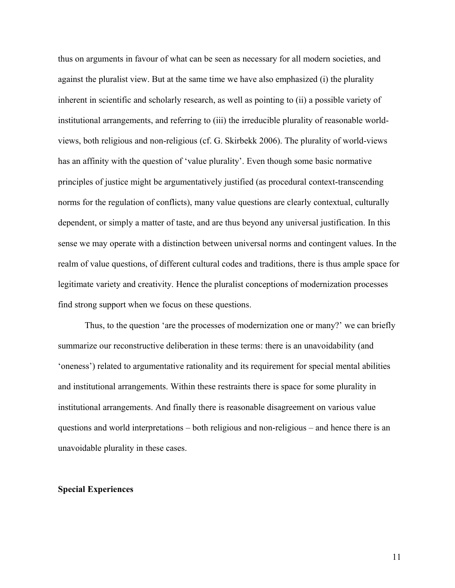thus on arguments in favour of what can be seen as necessary for all modern societies, and against the pluralist view. But at the same time we have also emphasized (i) the plurality inherent in scientific and scholarly research, as well as pointing to (ii) a possible variety of institutional arrangements, and referring to (iii) the irreducible plurality of reasonable worldviews, both religious and non-religious (cf. G. Skirbekk 2006). The plurality of world-views has an affinity with the question of 'value plurality'. Even though some basic normative principles of justice might be argumentatively justified (as procedural context-transcending norms for the regulation of conflicts), many value questions are clearly contextual, culturally dependent, or simply a matter of taste, and are thus beyond any universal justification. In this sense we may operate with a distinction between universal norms and contingent values. In the realm of value questions, of different cultural codes and traditions, there is thus ample space for legitimate variety and creativity. Hence the pluralist conceptions of modernization processes find strong support when we focus on these questions.

Thus, to the question 'are the processes of modernization one or many?' we can briefly summarize our reconstructive deliberation in these terms: there is an unavoidability (and 'oneness') related to argumentative rationality and its requirement for special mental abilities and institutional arrangements. Within these restraints there is space for some plurality in institutional arrangements. And finally there is reasonable disagreement on various value questions and world interpretations – both religious and non-religious – and hence there is an unavoidable plurality in these cases.

### **Special Experiences**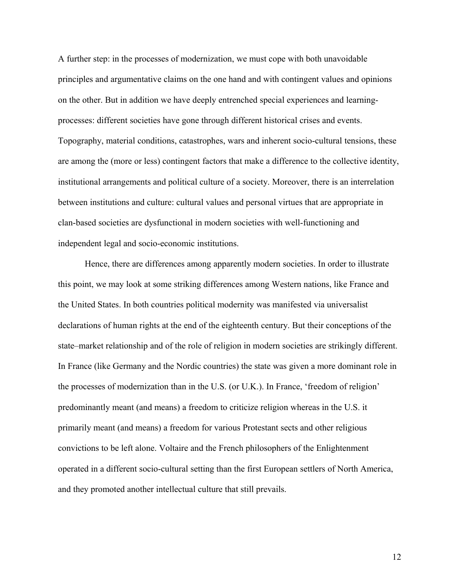A further step: in the processes of modernization, we must cope with both unavoidable principles and argumentative claims on the one hand and with contingent values and opinions on the other. But in addition we have deeply entrenched special experiences and learningprocesses: different societies have gone through different historical crises and events. Topography, material conditions, catastrophes, wars and inherent socio-cultural tensions, these are among the (more or less) contingent factors that make a difference to the collective identity, institutional arrangements and political culture of a society. Moreover, there is an interrelation between institutions and culture: cultural values and personal virtues that are appropriate in clan-based societies are dysfunctional in modern societies with well-functioning and independent legal and socio-economic institutions.

Hence, there are differences among apparently modern societies. In order to illustrate this point, we may look at some striking differences among Western nations, like France and the United States. In both countries political modernity was manifested via universalist declarations of human rights at the end of the eighteenth century. But their conceptions of the state–market relationship and of the role of religion in modern societies are strikingly different. In France (like Germany and the Nordic countries) the state was given a more dominant role in the processes of modernization than in the U.S. (or U.K.). In France, 'freedom of religion' predominantly meant (and means) a freedom to criticize religion whereas in the U.S. it primarily meant (and means) a freedom for various Protestant sects and other religious convictions to be left alone. Voltaire and the French philosophers of the Enlightenment operated in a different socio-cultural setting than the first European settlers of North America, and they promoted another intellectual culture that still prevails.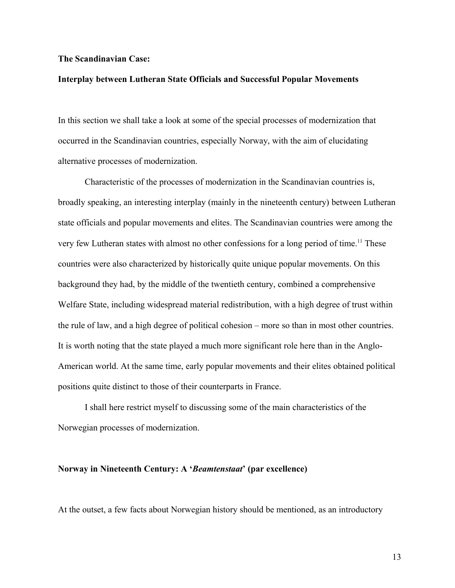## **The Scandinavian Case:**

### **Interplay between Lutheran State Officials and Successful Popular Movements**

In this section we shall take a look at some of the special processes of modernization that occurred in the Scandinavian countries, especially Norway, with the aim of elucidating alternative processes of modernization.

Characteristic of the processes of modernization in the Scandinavian countries is, broadly speaking, an interesting interplay (mainly in the nineteenth century) between Lutheran state officials and popular movements and elites. The Scandinavian countries were among the very few Lutheran states with almost no other confessions for a long period of time.<sup>[11](#page-35-10)</sup> These countries were also characterized by historically quite unique popular movements. On this background they had, by the middle of the twentieth century, combined a comprehensive Welfare State, including widespread material redistribution, with a high degree of trust within the rule of law, and a high degree of political cohesion – more so than in most other countries. It is worth noting that the state played a much more significant role here than in the Anglo-American world. At the same time, early popular movements and their elites obtained political positions quite distinct to those of their counterparts in France.

I shall here restrict myself to discussing some of the main characteristics of the Norwegian processes of modernization.

## **Norway in Nineteenth Century: A '***Beamtenstaat***' (par excellence)**

At the outset, a few facts about Norwegian history should be mentioned, as an introductory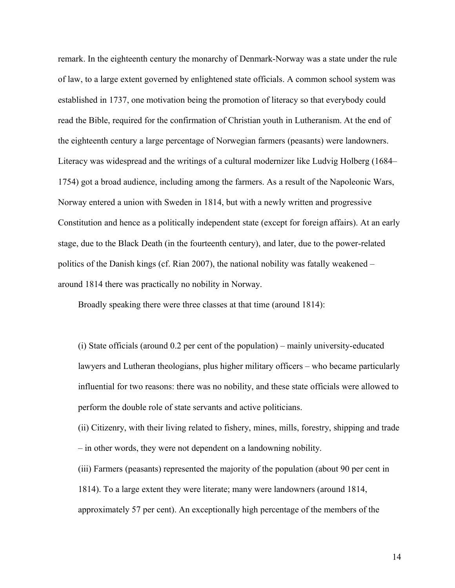remark. In the eighteenth century the monarchy of Denmark-Norway was a state under the rule of law, to a large extent governed by enlightened state officials. A common school system was established in 1737, one motivation being the promotion of literacy so that everybody could read the Bible, required for the confirmation of Christian youth in Lutheranism. At the end of the eighteenth century a large percentage of Norwegian farmers (peasants) were landowners. Literacy was widespread and the writings of a cultural modernizer like Ludvig Holberg (1684– 1754) got a broad audience, including among the farmers. As a result of the Napoleonic Wars, Norway entered a union with Sweden in 1814, but with a newly written and progressive Constitution and hence as a politically independent state (except for foreign affairs). At an early stage, due to the Black Death (in the fourteenth century), and later, due to the power-related politics of the Danish kings (cf. Rian 2007), the national nobility was fatally weakened – around 1814 there was practically no nobility in Norway.

Broadly speaking there were three classes at that time (around 1814):

(i) State officials (around 0.2 per cent of the population) – mainly university-educated lawyers and Lutheran theologians, plus higher military officers – who became particularly influential for two reasons: there was no nobility, and these state officials were allowed to perform the double role of state servants and active politicians.

(ii) Citizenry, with their living related to fishery, mines, mills, forestry, shipping and trade – in other words, they were not dependent on a landowning nobility.

(iii) Farmers (peasants) represented the majority of the population (about 90 per cent in 1814). To a large extent they were literate; many were landowners (around 1814, approximately 57 per cent). An exceptionally high percentage of the members of the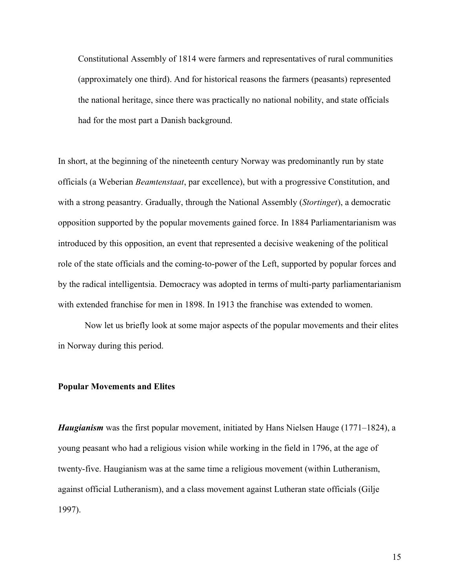Constitutional Assembly of 1814 were farmers and representatives of rural communities (approximately one third). And for historical reasons the farmers (peasants) represented the national heritage, since there was practically no national nobility, and state officials had for the most part a Danish background.

In short, at the beginning of the nineteenth century Norway was predominantly run by state officials (a Weberian *Beamtenstaat*, par excellence), but with a progressive Constitution, and with a strong peasantry. Gradually, through the National Assembly (*Stortinget*), a democratic opposition supported by the popular movements gained force. In 1884 Parliamentarianism was introduced by this opposition, an event that represented a decisive weakening of the political role of the state officials and the coming-to-power of the Left, supported by popular forces and by the radical intelligentsia. Democracy was adopted in terms of multi-party parliamentarianism with extended franchise for men in 1898. In 1913 the franchise was extended to women.

Now let us briefly look at some major aspects of the popular movements and their elites in Norway during this period.

## **Popular Movements and Elites**

*Haugianism* was the first popular movement, initiated by Hans Nielsen Hauge (1771–1824), a young peasant who had a religious vision while working in the field in 1796, at the age of twenty-five. Haugianism was at the same time a religious movement (within Lutheranism, against official Lutheranism), and a class movement against Lutheran state officials (Gilje 1997).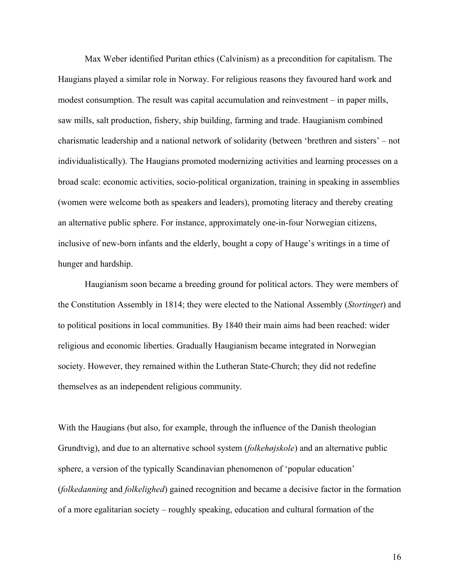Max Weber identified Puritan ethics (Calvinism) as a precondition for capitalism. The Haugians played a similar role in Norway. For religious reasons they favoured hard work and modest consumption. The result was capital accumulation and reinvestment – in paper mills, saw mills, salt production, fishery, ship building, farming and trade. Haugianism combined charismatic leadership and a national network of solidarity (between 'brethren and sisters' – not individualistically). The Haugians promoted modernizing activities and learning processes on a broad scale: economic activities, socio-political organization, training in speaking in assemblies (women were welcome both as speakers and leaders), promoting literacy and thereby creating an alternative public sphere. For instance, approximately one-in-four Norwegian citizens, inclusive of new-born infants and the elderly, bought a copy of Hauge's writings in a time of hunger and hardship.

Haugianism soon became a breeding ground for political actors. They were members of the Constitution Assembly in 1814; they were elected to the National Assembly (*Stortinget*) and to political positions in local communities. By 1840 their main aims had been reached: wider religious and economic liberties. Gradually Haugianism became integrated in Norwegian society. However, they remained within the Lutheran State-Church; they did not redefine themselves as an independent religious community.

With the Haugians (but also, for example, through the influence of the Danish theologian Grundtvig), and due to an alternative school system (*folkehøjskole*) and an alternative public sphere, a version of the typically Scandinavian phenomenon of 'popular education' (*folkedanning* and *folkelighed*) gained recognition and became a decisive factor in the formation of a more egalitarian society – roughly speaking, education and cultural formation of the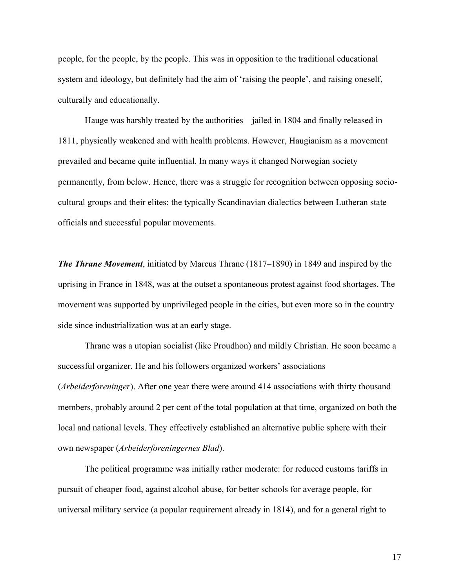people, for the people, by the people. This was in opposition to the traditional educational system and ideology, but definitely had the aim of 'raising the people', and raising oneself, culturally and educationally.

Hauge was harshly treated by the authorities – jailed in 1804 and finally released in 1811, physically weakened and with health problems. However, Haugianism as a movement prevailed and became quite influential. In many ways it changed Norwegian society permanently, from below. Hence, there was a struggle for recognition between opposing sociocultural groups and their elites: the typically Scandinavian dialectics between Lutheran state officials and successful popular movements.

*The Thrane Movement*, initiated by Marcus Thrane (1817–1890) in 1849 and inspired by the uprising in France in 1848, was at the outset a spontaneous protest against food shortages. The movement was supported by unprivileged people in the cities, but even more so in the country side since industrialization was at an early stage.

Thrane was a utopian socialist (like Proudhon) and mildly Christian. He soon became a successful organizer. He and his followers organized workers' associations (*Arbeiderforeninger*). After one year there were around 414 associations with thirty thousand members, probably around 2 per cent of the total population at that time, organized on both the local and national levels. They effectively established an alternative public sphere with their own newspaper (*Arbeiderforeningernes Blad*).

The political programme was initially rather moderate: for reduced customs tariffs in pursuit of cheaper food, against alcohol abuse, for better schools for average people, for universal military service (a popular requirement already in 1814), and for a general right to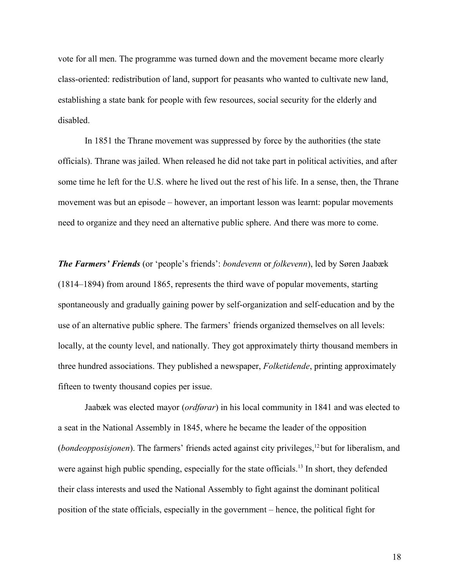vote for all men. The programme was turned down and the movement became more clearly class-oriented: redistribution of land, support for peasants who wanted to cultivate new land, establishing a state bank for people with few resources, social security for the elderly and disabled.

In 1851 the Thrane movement was suppressed by force by the authorities (the state officials). Thrane was jailed. When released he did not take part in political activities, and after some time he left for the U.S. where he lived out the rest of his life. In a sense, then, the Thrane movement was but an episode – however, an important lesson was learnt: popular movements need to organize and they need an alternative public sphere. And there was more to come.

*The Farmers' Friends* (or 'people's friends': *bondevenn* or *folkevenn*), led by Søren Jaabæk (1814–1894) from around 1865, represents the third wave of popular movements, starting spontaneously and gradually gaining power by self-organization and self-education and by the use of an alternative public sphere. The farmers' friends organized themselves on all levels: locally, at the county level, and nationally. They got approximately thirty thousand members in three hundred associations. They published a newspaper, *Folketidende*, printing approximately fifteen to twenty thousand copies per issue.

Jaabæk was elected mayor (*ordførar*) in his local community in 1841 and was elected to a seat in the National Assembly in 1845, where he became the leader of the opposition (*bondeopposisjonen*). The farmers' friends acted against city privileges,<sup>[12](#page-35-11)</sup> but for liberalism, and were against high public spending, especially for the state officials.<sup>[13](#page-35-12)</sup> In short, they defended their class interests and used the National Assembly to fight against the dominant political position of the state officials, especially in the government – hence, the political fight for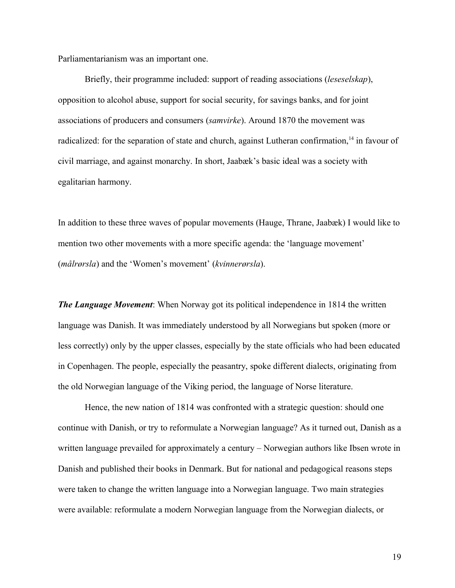Parliamentarianism was an important one.

Briefly, their programme included: support of reading associations (*leseselskap*), opposition to alcohol abuse, support for social security, for savings banks, and for joint associations of producers and consumers (*samvirke*). Around 1870 the movement was radicalized: for the separation of state and church, against Lutheran confirmation,<sup>[14](#page-35-13)</sup> in favour of civil marriage, and against monarchy. In short, Jaabæk's basic ideal was a society with egalitarian harmony.

In addition to these three waves of popular movements (Hauge, Thrane, Jaabæk) I would like to mention two other movements with a more specific agenda: the 'language movement' (*målrørsla*) and the 'Women's movement' (*kvinnerørsla*).

*The Language Movement*: When Norway got its political independence in 1814 the written language was Danish. It was immediately understood by all Norwegians but spoken (more or less correctly) only by the upper classes, especially by the state officials who had been educated in Copenhagen. The people, especially the peasantry, spoke different dialects, originating from the old Norwegian language of the Viking period, the language of Norse literature.

Hence, the new nation of 1814 was confronted with a strategic question: should one continue with Danish, or try to reformulate a Norwegian language? As it turned out, Danish as a written language prevailed for approximately a century – Norwegian authors like Ibsen wrote in Danish and published their books in Denmark. But for national and pedagogical reasons steps were taken to change the written language into a Norwegian language. Two main strategies were available: reformulate a modern Norwegian language from the Norwegian dialects, or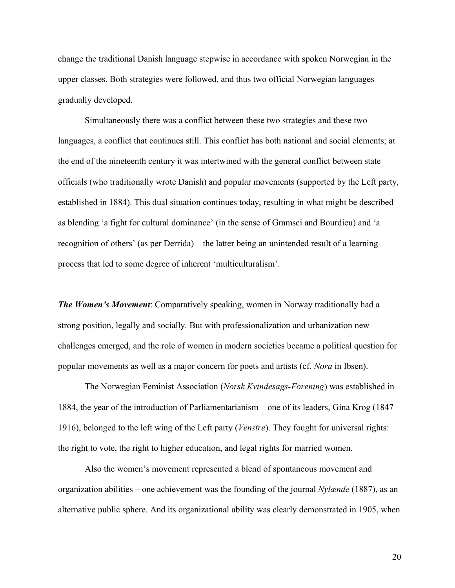change the traditional Danish language stepwise in accordance with spoken Norwegian in the upper classes. Both strategies were followed, and thus two official Norwegian languages gradually developed.

Simultaneously there was a conflict between these two strategies and these two languages, a conflict that continues still. This conflict has both national and social elements; at the end of the nineteenth century it was intertwined with the general conflict between state officials (who traditionally wrote Danish) and popular movements (supported by the Left party, established in 1884). This dual situation continues today, resulting in what might be described as blending 'a fight for cultural dominance' (in the sense of Gramsci and Bourdieu) and 'a recognition of others' (as per Derrida) – the latter being an unintended result of a learning process that led to some degree of inherent 'multiculturalism'.

*The Women's Movement*: Comparatively speaking, women in Norway traditionally had a strong position, legally and socially. But with professionalization and urbanization new challenges emerged, and the role of women in modern societies became a political question for popular movements as well as a major concern for poets and artists (cf. *Nora* in Ibsen).

The Norwegian Feminist Association (*Norsk Kvindesags-Forening*) was established in 1884, the year of the introduction of Parliamentarianism – one of its leaders, Gina Krog (1847– 1916), belonged to the left wing of the Left party (*Venstre*). They fought for universal rights: the right to vote, the right to higher education, and legal rights for married women.

Also the women's movement represented a blend of spontaneous movement and organization abilities – one achievement was the founding of the journal *Nylænde* (1887), as an alternative public sphere. And its organizational ability was clearly demonstrated in 1905, when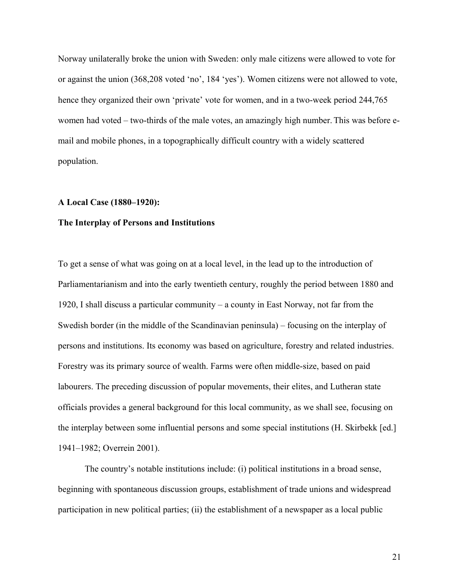Norway unilaterally broke the union with Sweden: only male citizens were allowed to vote for or against the union (368,208 voted 'no', 184 'yes'). Women citizens were not allowed to vote, hence they organized their own 'private' vote for women, and in a two-week period 244,765 women had voted – two-thirds of the male votes, an amazingly high number. This was before email and mobile phones, in a topographically difficult country with a widely scattered population.

#### **A Local Case (1880–1920):**

## **The Interplay of Persons and Institutions**

To get a sense of what was going on at a local level, in the lead up to the introduction of Parliamentarianism and into the early twentieth century, roughly the period between 1880 and 1920, I shall discuss a particular community – a county in East Norway, not far from the Swedish border (in the middle of the Scandinavian peninsula) – focusing on the interplay of persons and institutions. Its economy was based on agriculture, forestry and related industries. Forestry was its primary source of wealth. Farms were often middle-size, based on paid labourers. The preceding discussion of popular movements, their elites, and Lutheran state officials provides a general background for this local community, as we shall see, focusing on the interplay between some influential persons and some special institutions (H. Skirbekk [ed.] 1941–1982; Overrein 2001).

The country's notable institutions include: (i) political institutions in a broad sense, beginning with spontaneous discussion groups, establishment of trade unions and widespread participation in new political parties; (ii) the establishment of a newspaper as a local public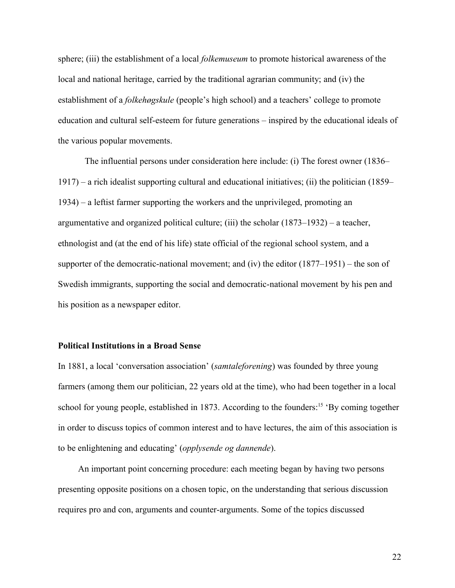sphere; (iii) the establishment of a local *folkemuseum* to promote historical awareness of the local and national heritage, carried by the traditional agrarian community; and (iv) the establishment of a *folkehøgskule* (people's high school) and a teachers' college to promote education and cultural self-esteem for future generations – inspired by the educational ideals of the various popular movements.

The influential persons under consideration here include: (i) The forest owner (1836– 1917) – a rich idealist supporting cultural and educational initiatives; (ii) the politician (1859– 1934) – a leftist farmer supporting the workers and the unprivileged, promoting an argumentative and organized political culture; (iii) the scholar (1873–1932) – a teacher, ethnologist and (at the end of his life) state official of the regional school system, and a supporter of the democratic-national movement; and (iv) the editor (1877–1951) – the son of Swedish immigrants, supporting the social and democratic-national movement by his pen and his position as a newspaper editor.

## **Political Institutions in a Broad Sense**

In 1881, a local 'conversation association' (*samtaleforening*) was founded by three young farmers (among them our politician, 22 years old at the time), who had been together in a local school for young people, established in 1873. According to the founders:<sup>[15](#page-35-14)</sup> 'By coming together in order to discuss topics of common interest and to have lectures, the aim of this association is to be enlightening and educating' (*opplysende og dannende*).

An important point concerning procedure: each meeting began by having two persons presenting opposite positions on a chosen topic, on the understanding that serious discussion requires pro and con, arguments and counter-arguments. Some of the topics discussed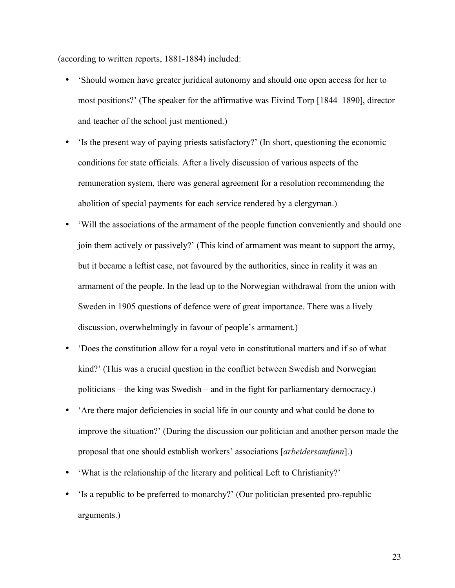(according to written reports, 1881-1884) included:

- 'Should women have greater juridical autonomy and should one open access for her to most positions?' (The speaker for the affirmative was Eivind Torp [1844–1890], director and teacher of the school just mentioned.)
- 'Is the present way of paying priests satisfactory?' (In short, questioning the economic conditions for state officials. After a lively discussion of various aspects of the remuneration system, there was general agreement for a resolution recommending the abolition of special payments for each service rendered by a clergyman.)
- 'Will the associations of the armament of the people function conveniently and should one join them actively or passively?' (This kind of armament was meant to support the army, but it became a leftist case, not favoured by the authorities, since in reality it was an armament of the people. In the lead up to the Norwegian withdrawal from the union with Sweden in 1905 questions of defence were of great importance. There was a lively discussion, overwhelmingly in favour of people's armament.)
- 'Does the constitution allow for a royal veto in constitutional matters and if so of what kind?' (This was a crucial question in the conflict between Swedish and Norwegian politicians – the king was Swedish – and in the fight for parliamentary democracy.)
- 'Are there major deficiencies in social life in our county and what could be done to improve the situation?' (During the discussion our politician and another person made the proposal that one should establish workers' associations [*arbeidersamfunn*].)
- 'What is the relationship of the literary and political Left to Christianity?'
- 'Is a republic to be preferred to monarchy?' (Our politician presented pro-republic arguments.)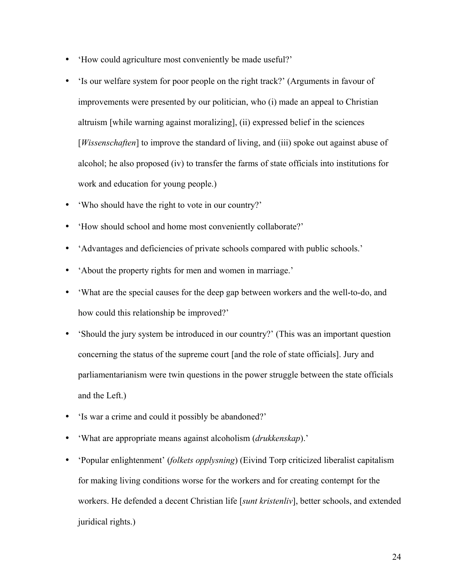- 'How could agriculture most conveniently be made useful?'
- 'Is our welfare system for poor people on the right track?' (Arguments in favour of improvements were presented by our politician, who (i) made an appeal to Christian altruism [while warning against moralizing], (ii) expressed belief in the sciences [*Wissenschaften*] to improve the standard of living, and (iii) spoke out against abuse of alcohol; he also proposed (iv) to transfer the farms of state officials into institutions for work and education for young people.)
- 'Who should have the right to vote in our country?'
- 'How should school and home most conveniently collaborate?'
- 'Advantages and deficiencies of private schools compared with public schools.'
- 'About the property rights for men and women in marriage.'
- What are the special causes for the deep gap between workers and the well-to-do, and how could this relationship be improved?'
- 'Should the jury system be introduced in our country?' (This was an important question concerning the status of the supreme court [and the role of state officials]. Jury and parliamentarianism were twin questions in the power struggle between the state officials and the Left.)
- 'Is war a crime and could it possibly be abandoned?'
- 'What are appropriate means against alcoholism (*drukkenskap*).'
- 'Popular enlightenment' (*folkets opplysning*) (Eivind Torp criticized liberalist capitalism for making living conditions worse for the workers and for creating contempt for the workers. He defended a decent Christian life [*sunt kristenliv*], better schools, and extended juridical rights.)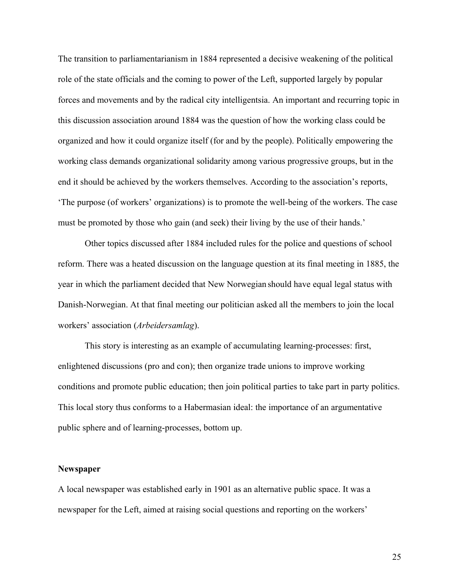The transition to parliamentarianism in 1884 represented a decisive weakening of the political role of the state officials and the coming to power of the Left, supported largely by popular forces and movements and by the radical city intelligentsia. An important and recurring topic in this discussion association around 1884 was the question of how the working class could be organized and how it could organize itself (for and by the people). Politically empowering the working class demands organizational solidarity among various progressive groups, but in the end it should be achieved by the workers themselves. According to the association's reports, 'The purpose (of workers' organizations) is to promote the well-being of the workers. The case must be promoted by those who gain (and seek) their living by the use of their hands.'

Other topics discussed after 1884 included rules for the police and questions of school reform. There was a heated discussion on the language question at its final meeting in 1885, the year in which the parliament decided that New Norwegian should have equal legal status with Danish-Norwegian. At that final meeting our politician asked all the members to join the local workers' association (*Arbeidersamlag*).

This story is interesting as an example of accumulating learning-processes: first, enlightened discussions (pro and con); then organize trade unions to improve working conditions and promote public education; then join political parties to take part in party politics. This local story thus conforms to a Habermasian ideal: the importance of an argumentative public sphere and of learning-processes, bottom up.

### **Newspaper**

A local newspaper was established early in 1901 as an alternative public space. It was a newspaper for the Left, aimed at raising social questions and reporting on the workers'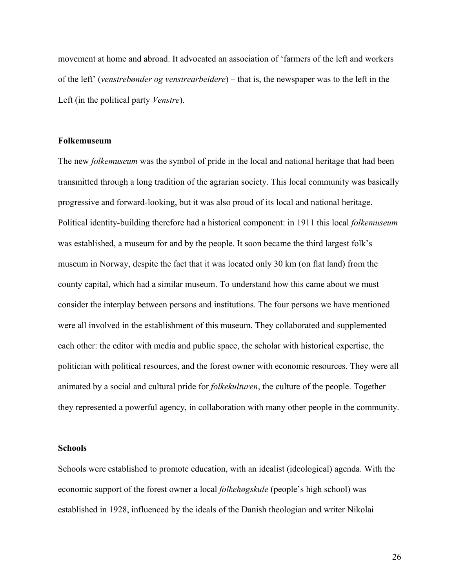movement at home and abroad. It advocated an association of 'farmers of the left and workers of the left' (*venstrebønder og venstrearbeidere*) – that is, the newspaper was to the left in the Left (in the political party *Venstre*).

#### **Folkemuseum**

The new *folkemuseum* was the symbol of pride in the local and national heritage that had been transmitted through a long tradition of the agrarian society. This local community was basically progressive and forward-looking, but it was also proud of its local and national heritage. Political identity-building therefore had a historical component: in 1911 this local *folkemuseum* was established, a museum for and by the people. It soon became the third largest folk's museum in Norway, despite the fact that it was located only 30 km (on flat land) from the county capital, which had a similar museum. To understand how this came about we must consider the interplay between persons and institutions. The four persons we have mentioned were all involved in the establishment of this museum. They collaborated and supplemented each other: the editor with media and public space, the scholar with historical expertise, the politician with political resources, and the forest owner with economic resources. They were all animated by a social and cultural pride for *folkekulturen*, the culture of the people. Together they represented a powerful agency, in collaboration with many other people in the community.

## **Schools**

Schools were established to promote education, with an idealist (ideological) agenda. With the economic support of the forest owner a local *folkehøgskule* (people's high school) was established in 1928, influenced by the ideals of the Danish theologian and writer Nikolai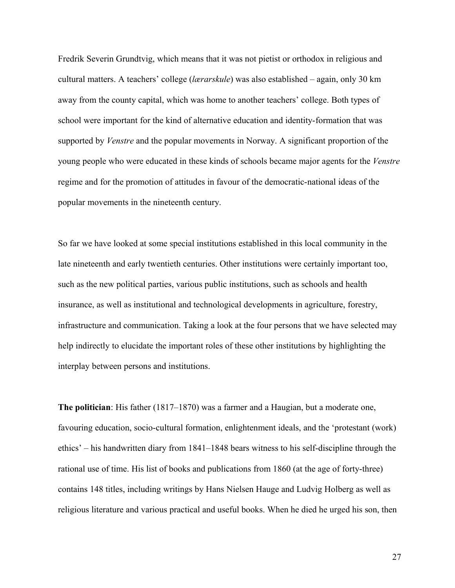Fredrik Severin Grundtvig, which means that it was not pietist or orthodox in religious and cultural matters. A teachers' college (*lærarskule*) was also established – again, only 30 km away from the county capital, which was home to another teachers' college. Both types of school were important for the kind of alternative education and identity-formation that was supported by *Venstre* and the popular movements in Norway. A significant proportion of the young people who were educated in these kinds of schools became major agents for the *Venstre* regime and for the promotion of attitudes in favour of the democratic-national ideas of the popular movements in the nineteenth century.

So far we have looked at some special institutions established in this local community in the late nineteenth and early twentieth centuries. Other institutions were certainly important too, such as the new political parties, various public institutions, such as schools and health insurance, as well as institutional and technological developments in agriculture, forestry, infrastructure and communication. Taking a look at the four persons that we have selected may help indirectly to elucidate the important roles of these other institutions by highlighting the interplay between persons and institutions.

**The politician**: His father (1817–1870) was a farmer and a Haugian, but a moderate one, favouring education, socio-cultural formation, enlightenment ideals, and the 'protestant (work) ethics' – his handwritten diary from 1841–1848 bears witness to his self-discipline through the rational use of time. His list of books and publications from 1860 (at the age of forty-three) contains 148 titles, including writings by Hans Nielsen Hauge and Ludvig Holberg as well as religious literature and various practical and useful books. When he died he urged his son, then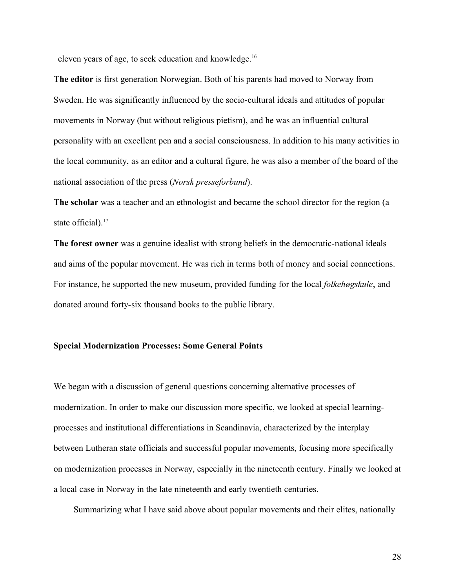eleven years of age, to seek education and knowledge.[16](#page-35-15)

**The editor** is first generation Norwegian. Both of his parents had moved to Norway from Sweden. He was significantly influenced by the socio-cultural ideals and attitudes of popular movements in Norway (but without religious pietism), and he was an influential cultural personality with an excellent pen and a social consciousness. In addition to his many activities in the local community, as an editor and a cultural figure, he was also a member of the board of the national association of the press (*Norsk presseforbund*).

**The scholar** was a teacher and an ethnologist and became the school director for the region (a state official). $17$ 

**The forest owner** was a genuine idealist with strong beliefs in the democratic-national ideals and aims of the popular movement. He was rich in terms both of money and social connections. For instance, he supported the new museum, provided funding for the local *folkehøgskule*, and donated around forty-six thousand books to the public library.

## **Special Modernization Processes: Some General Points**

We began with a discussion of general questions concerning alternative processes of modernization. In order to make our discussion more specific, we looked at special learningprocesses and institutional differentiations in Scandinavia, characterized by the interplay between Lutheran state officials and successful popular movements, focusing more specifically on modernization processes in Norway, especially in the nineteenth century. Finally we looked at a local case in Norway in the late nineteenth and early twentieth centuries.

Summarizing what I have said above about popular movements and their elites, nationally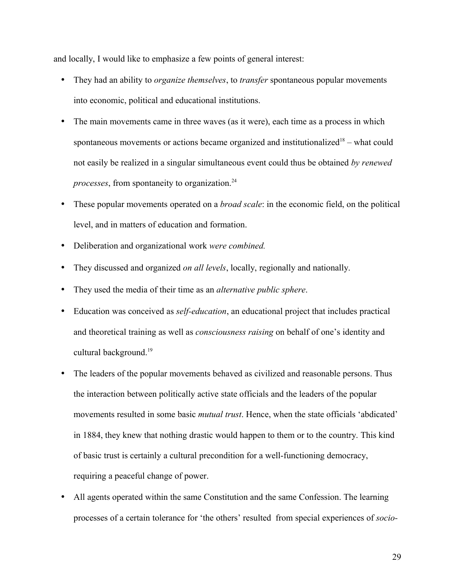and locally, I would like to emphasize a few points of general interest:

- They had an ability to *organize themselves*, to *transfer* spontaneous popular movements into economic, political and educational institutions.
- The main movements came in three waves (as it were), each time as a process in which spontaneous movements or actions became organized and institutionalized<sup>[18](#page-35-17)</sup> – what could not easily be realized in a singular simultaneous event could thus be obtained *by renewed processes*, from spontaneity to organization.<sup>24</sup>
- These popular movements operated on a *broad scale*: in the economic field, on the political level, and in matters of education and formation.
- Deliberation and organizational work *were combined.*
- They discussed and organized *on all levels*, locally, regionally and nationally.
- They used the media of their time as an *alternative public sphere*.
- Education was conceived as *self-education*, an educational project that includes practical and theoretical training as well as *consciousness raising* on behalf of one's identity and cultural background.[19](#page-35-18)
- The leaders of the popular movements behaved as civilized and reasonable persons. Thus the interaction between politically active state officials and the leaders of the popular movements resulted in some basic *mutual trust*. Hence, when the state officials 'abdicated' in 1884, they knew that nothing drastic would happen to them or to the country. This kind of basic trust is certainly a cultural precondition for a well-functioning democracy, requiring a peaceful change of power.
- All agents operated within the same Constitution and the same Confession. The learning processes of a certain tolerance for 'the others' resulted from special experiences of *socio-*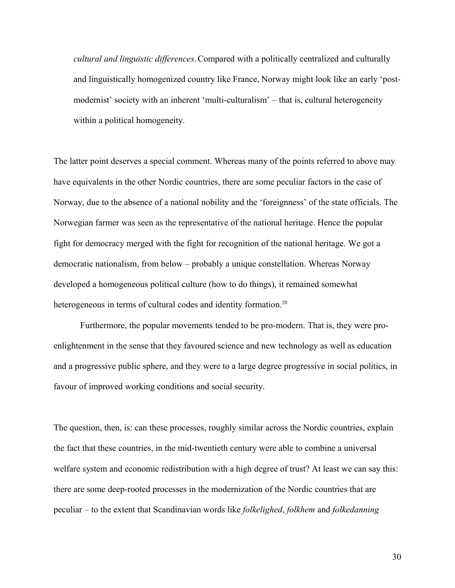*cultural and linguistic differences*.Compared with a politically centralized and culturally and linguistically homogenized country like France, Norway might look like an early 'postmodernist' society with an inherent 'multi-culturalism' – that is, cultural heterogeneity within a political homogeneity.

The latter point deserves a special comment. Whereas many of the points referred to above may have equivalents in the other Nordic countries, there are some peculiar factors in the case of Norway, due to the absence of a national nobility and the 'foreignness' of the state officials. The Norwegian farmer was seen as the representative of the national heritage. Hence the popular fight for democracy merged with the fight for recognition of the national heritage. We got a democratic nationalism, from below – probably a unique constellation. Whereas Norway developed a homogeneous political culture (how to do things), it remained somewhat heterogeneous in terms of cultural codes and identity formation.<sup>[20](#page-35-19)</sup>

Furthermore, the popular movements tended to be pro-modern. That is, they were proenlightenment in the sense that they favoured science and new technology as well as education and a progressive public sphere, and they were to a large degree progressive in social politics, in favour of improved working conditions and social security.

The question, then, is: can these processes, roughly similar across the Nordic countries, explain the fact that these countries, in the mid-twentieth century were able to combine a universal welfare system and economic redistribution with a high degree of trust? At least we can say this: there are some deep-rooted processes in the modernization of the Nordic countries that are peculiar – to the extent that Scandinavian words like *folkelighed*, *folkhem* and *folkedanning*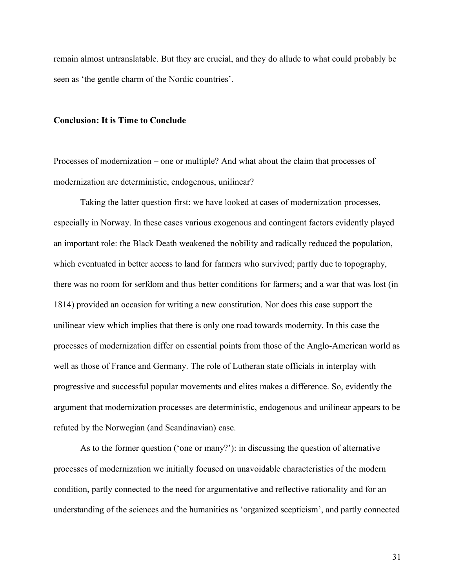remain almost untranslatable. But they are crucial, and they do allude to what could probably be seen as 'the gentle charm of the Nordic countries'.

### **Conclusion: It is Time to Conclude**

Processes of modernization – one or multiple? And what about the claim that processes of modernization are deterministic, endogenous, unilinear?

Taking the latter question first: we have looked at cases of modernization processes, especially in Norway. In these cases various exogenous and contingent factors evidently played an important role: the Black Death weakened the nobility and radically reduced the population, which eventuated in better access to land for farmers who survived; partly due to topography, there was no room for serfdom and thus better conditions for farmers; and a war that was lost (in 1814) provided an occasion for writing a new constitution. Nor does this case support the unilinear view which implies that there is only one road towards modernity. In this case the processes of modernization differ on essential points from those of the Anglo-American world as well as those of France and Germany. The role of Lutheran state officials in interplay with progressive and successful popular movements and elites makes a difference. So, evidently the argument that modernization processes are deterministic, endogenous and unilinear appears to be refuted by the Norwegian (and Scandinavian) case.

As to the former question ('one or many?'): in discussing the question of alternative processes of modernization we initially focused on unavoidable characteristics of the modern condition, partly connected to the need for argumentative and reflective rationality and for an understanding of the sciences and the humanities as 'organized scepticism', and partly connected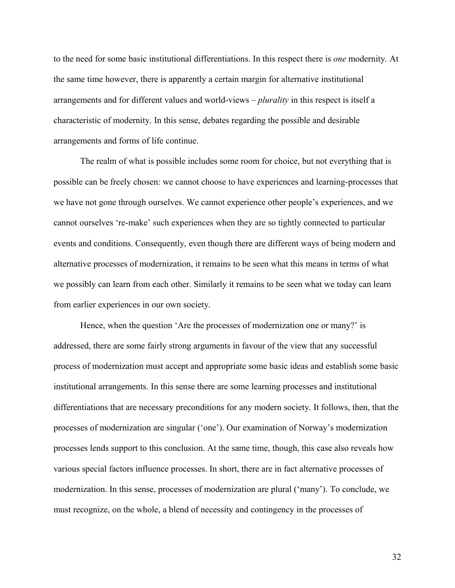to the need for some basic institutional differentiations. In this respect there is *one* modernity. At the same time however, there is apparently a certain margin for alternative institutional arrangements and for different values and world-views – *plurality* in this respect is itself a characteristic of modernity. In this sense, debates regarding the possible and desirable arrangements and forms of life continue.

The realm of what is possible includes some room for choice, but not everything that is possible can be freely chosen: we cannot choose to have experiences and learning-processes that we have not gone through ourselves. We cannot experience other people's experiences, and we cannot ourselves 're-make' such experiences when they are so tightly connected to particular events and conditions. Consequently, even though there are different ways of being modern and alternative processes of modernization, it remains to be seen what this means in terms of what we possibly can learn from each other. Similarly it remains to be seen what we today can learn from earlier experiences in our own society.

Hence, when the question 'Are the processes of modernization one or many?' is addressed, there are some fairly strong arguments in favour of the view that any successful process of modernization must accept and appropriate some basic ideas and establish some basic institutional arrangements. In this sense there are some learning processes and institutional differentiations that are necessary preconditions for any modern society. It follows, then, that the processes of modernization are singular ('one'). Our examination of Norway's modernization processes lends support to this conclusion. At the same time, though, this case also reveals how various special factors influence processes. In short, there are in fact alternative processes of modernization. In this sense, processes of modernization are plural ('many'). To conclude, we must recognize, on the whole, a blend of necessity and contingency in the processes of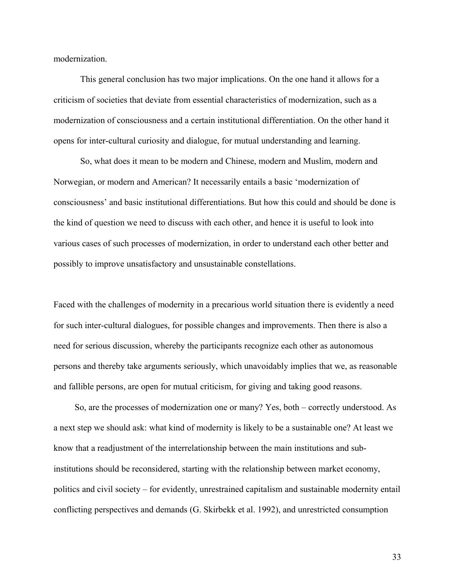modernization.

This general conclusion has two major implications. On the one hand it allows for a criticism of societies that deviate from essential characteristics of modernization, such as a modernization of consciousness and a certain institutional differentiation. On the other hand it opens for inter-cultural curiosity and dialogue, for mutual understanding and learning.

So, what does it mean to be modern and Chinese, modern and Muslim, modern and Norwegian, or modern and American? It necessarily entails a basic 'modernization of consciousness' and basic institutional differentiations. But how this could and should be done is the kind of question we need to discuss with each other, and hence it is useful to look into various cases of such processes of modernization, in order to understand each other better and possibly to improve unsatisfactory and unsustainable constellations.

Faced with the challenges of modernity in a precarious world situation there is evidently a need for such inter-cultural dialogues, for possible changes and improvements. Then there is also a need for serious discussion, whereby the participants recognize each other as autonomous persons and thereby take arguments seriously, which unavoidably implies that we, as reasonable and fallible persons, are open for mutual criticism, for giving and taking good reasons.

So, are the processes of modernization one or many? Yes, both – correctly understood. As a next step we should ask: what kind of modernity is likely to be a sustainable one? At least we know that a readjustment of the interrelationship between the main institutions and subinstitutions should be reconsidered, starting with the relationship between market economy, politics and civil society – for evidently, unrestrained capitalism and sustainable modernity entail conflicting perspectives and demands (G. Skirbekk et al. 1992), and unrestricted consumption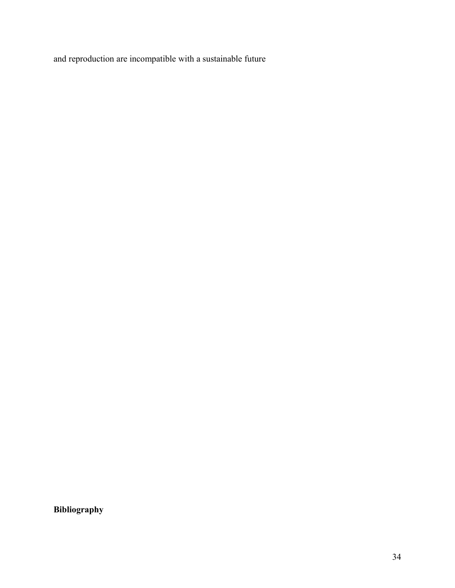and reproduction are incompatible with a sustainable future

**Bibliography**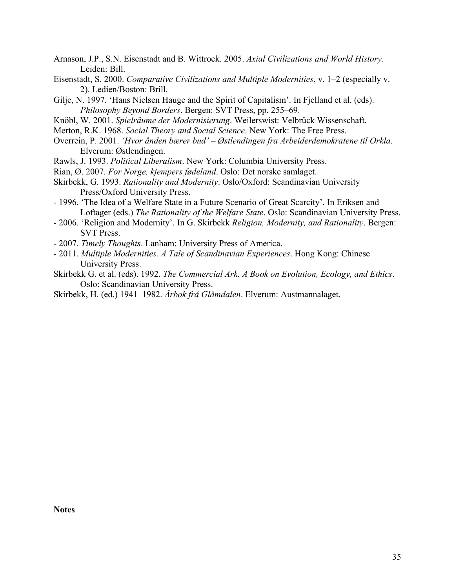- Arnason, J.P., S.N. Eisenstadt and B. Wittrock. 2005. *Axial Civilizations and World History*. Leiden: Bill.
- Eisenstadt, S. 2000. *Comparative Civilizations and Multiple Modernities*, v. 1–2 (especially v. 2). Ledien/Boston: Brill.
- Gilje, N. 1997. 'Hans Nielsen Hauge and the Spirit of Capitalism'. In Fjelland et al. (eds). *Philosophy Beyond Borders*. Bergen: SVT Press, pp. 255–69.
- Knöbl, W. 2001. *Spielräume der Modernisierung*. Weilerswist: Velbrück Wissenschaft.
- Merton, R.K. 1968. *Social Theory and Social Science*. New York: The Free Press.
- Overrein, P. 2001. *'Hvor ånden bærer bud' Østlendingen fra Arbeiderdemokratene til Orkla*. Elverum: Østlendingen.
- Rawls, J. 1993. *Political Liberalism*. New York: Columbia University Press.
- Rian, Ø. 2007. *For Norge, kjempers fødeland*. Oslo: Det norske samlaget.
- Skirbekk, G. 1993. *Rationality and Modernity*. Oslo/Oxford: Scandinavian University Press/Oxford University Press.
- 1996. 'The Idea of a Welfare State in a Future Scenario of Great Scarcity'. In Eriksen and Loftager (eds.) *The Rationality of the Welfare State*. Oslo: Scandinavian University Press.
- 2006. 'Religion and Modernity'. In G. Skirbekk *Religion, Modernity, and Rationality*. Bergen: SVT Press.
- 2007. *Timely Thoughts*. Lanham: University Press of America.
- 2011. *Multiple Modernities. A Tale of Scandinavian Experiences*. Hong Kong: Chinese University Press.
- Skirbekk G. et al. (eds). 1992. *The Commercial Ark. A Book on Evolution, Ecology, and Ethics*. Oslo: Scandinavian University Press.
- Skirbekk, H. (ed.) 1941–1982. *Årbok frå Glåmdalen*. Elverum: Austmannalaget.